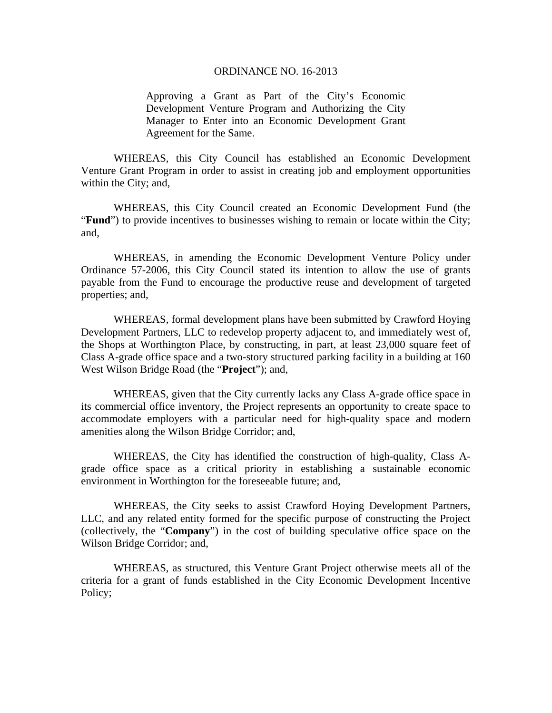#### ORDINANCE NO. 16-2013

Approving a Grant as Part of the City's Economic Development Venture Program and Authorizing the City Manager to Enter into an Economic Development Grant Agreement for the Same.

WHEREAS, this City Council has established an Economic Development Venture Grant Program in order to assist in creating job and employment opportunities within the City; and,

WHEREAS, this City Council created an Economic Development Fund (the "**Fund**") to provide incentives to businesses wishing to remain or locate within the City; and,

WHEREAS, in amending the Economic Development Venture Policy under Ordinance 57-2006, this City Council stated its intention to allow the use of grants payable from the Fund to encourage the productive reuse and development of targeted properties; and,

WHEREAS, formal development plans have been submitted by Crawford Hoying Development Partners, LLC to redevelop property adjacent to, and immediately west of, the Shops at Worthington Place, by constructing, in part, at least 23,000 square feet of Class A-grade office space and a two-story structured parking facility in a building at 160 West Wilson Bridge Road (the "**Project**"); and,

WHEREAS, given that the City currently lacks any Class A-grade office space in its commercial office inventory, the Project represents an opportunity to create space to accommodate employers with a particular need for high-quality space and modern amenities along the Wilson Bridge Corridor; and,

WHEREAS, the City has identified the construction of high-quality, Class Agrade office space as a critical priority in establishing a sustainable economic environment in Worthington for the foreseeable future; and,

WHEREAS, the City seeks to assist Crawford Hoying Development Partners, LLC, and any related entity formed for the specific purpose of constructing the Project (collectively, the "**Company**") in the cost of building speculative office space on the Wilson Bridge Corridor; and,

WHEREAS, as structured, this Venture Grant Project otherwise meets all of the criteria for a grant of funds established in the City Economic Development Incentive Policy;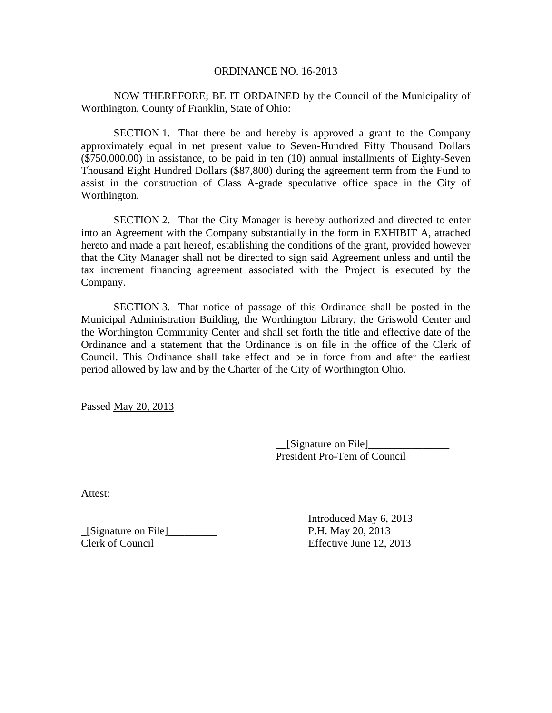### ORDINANCE NO. 16-2013

NOW THEREFORE; BE IT ORDAINED by the Council of the Municipality of Worthington, County of Franklin, State of Ohio:

SECTION 1. That there be and hereby is approved a grant to the Company approximately equal in net present value to Seven-Hundred Fifty Thousand Dollars (\$750,000.00) in assistance, to be paid in ten (10) annual installments of Eighty-Seven Thousand Eight Hundred Dollars (\$87,800) during the agreement term from the Fund to assist in the construction of Class A-grade speculative office space in the City of Worthington.

SECTION 2. That the City Manager is hereby authorized and directed to enter into an Agreement with the Company substantially in the form in EXHIBIT A, attached hereto and made a part hereof, establishing the conditions of the grant, provided however that the City Manager shall not be directed to sign said Agreement unless and until the tax increment financing agreement associated with the Project is executed by the Company.

SECTION 3. That notice of passage of this Ordinance shall be posted in the Municipal Administration Building, the Worthington Library, the Griswold Center and the Worthington Community Center and shall set forth the title and effective date of the Ordinance and a statement that the Ordinance is on file in the office of the Clerk of Council. This Ordinance shall take effect and be in force from and after the earliest period allowed by law and by the Charter of the City of Worthington Ohio.

Passed May 20, 2013

\_\_[Signature on File]\_\_\_\_\_\_\_\_\_\_\_\_\_\_\_ President Pro-Tem of Council

Attest:

\_[Signature on File]\_\_\_\_\_\_\_\_\_ P.H. May 20, 2013

 Introduced May 6, 2013 Clerk of Council Effective June 12, 2013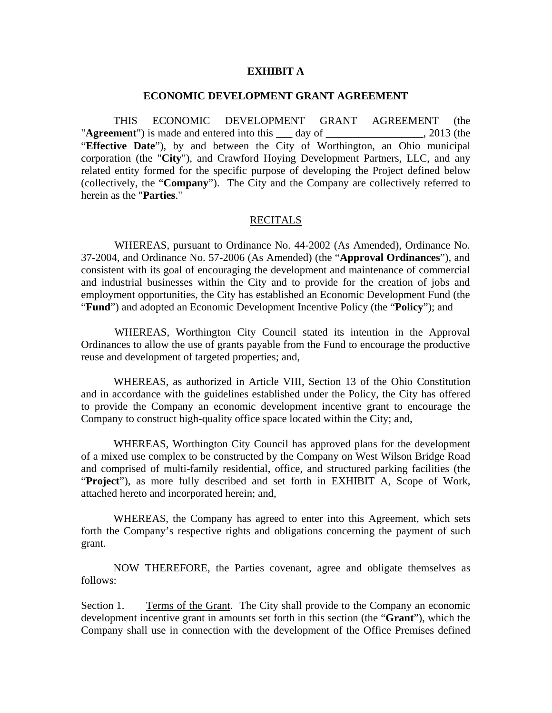### **EXHIBIT A**

#### **ECONOMIC DEVELOPMENT GRANT AGREEMENT**

THIS ECONOMIC DEVELOPMENT GRANT AGREEMENT (the "**Agreement**") is made and entered into this \_\_\_ day of \_\_\_\_\_\_\_\_\_\_\_\_\_\_\_\_\_\_, 2013 (the "**Effective Date**"), by and between the City of Worthington, an Ohio municipal corporation (the "**City**"), and Crawford Hoying Development Partners, LLC, and any related entity formed for the specific purpose of developing the Project defined below (collectively, the "**Company**"). The City and the Company are collectively referred to herein as the "**Parties**."

#### RECITALS

WHEREAS, pursuant to Ordinance No. 44-2002 (As Amended), Ordinance No. 37-2004, and Ordinance No. 57-2006 (As Amended) (the "**Approval Ordinances**"), and consistent with its goal of encouraging the development and maintenance of commercial and industrial businesses within the City and to provide for the creation of jobs and employment opportunities, the City has established an Economic Development Fund (the "**Fund**") and adopted an Economic Development Incentive Policy (the "**Policy**"); and

WHEREAS, Worthington City Council stated its intention in the Approval Ordinances to allow the use of grants payable from the Fund to encourage the productive reuse and development of targeted properties; and,

WHEREAS, as authorized in Article VIII, Section 13 of the Ohio Constitution and in accordance with the guidelines established under the Policy, the City has offered to provide the Company an economic development incentive grant to encourage the Company to construct high-quality office space located within the City; and,

WHEREAS, Worthington City Council has approved plans for the development of a mixed use complex to be constructed by the Company on West Wilson Bridge Road and comprised of multi-family residential, office, and structured parking facilities (the "**Project**"), as more fully described and set forth in EXHIBIT A, Scope of Work, attached hereto and incorporated herein; and,

 WHEREAS, the Company has agreed to enter into this Agreement, which sets forth the Company's respective rights and obligations concerning the payment of such grant.

 NOW THEREFORE, the Parties covenant, agree and obligate themselves as follows:

Section 1. Terms of the Grant. The City shall provide to the Company an economic development incentive grant in amounts set forth in this section (the "**Grant**"), which the Company shall use in connection with the development of the Office Premises defined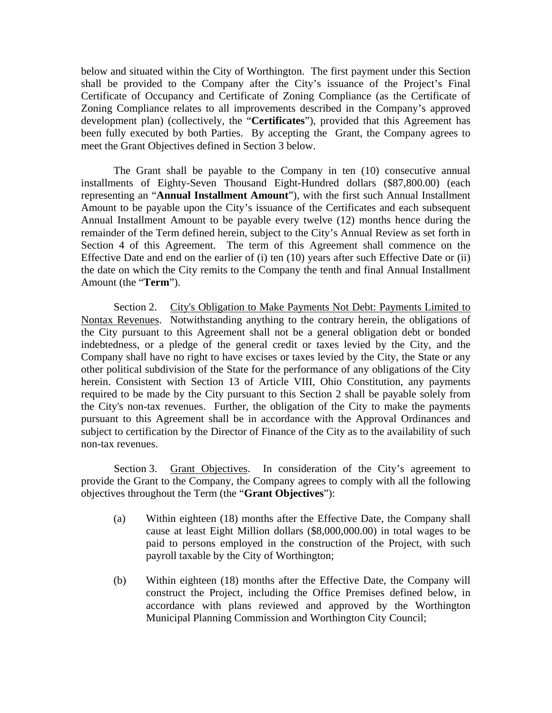below and situated within the City of Worthington. The first payment under this Section shall be provided to the Company after the City's issuance of the Project's Final Certificate of Occupancy and Certificate of Zoning Compliance (as the Certificate of Zoning Compliance relates to all improvements described in the Company's approved development plan) (collectively, the "**Certificates**"), provided that this Agreement has been fully executed by both Parties. By accepting the Grant, the Company agrees to meet the Grant Objectives defined in Section 3 below.

The Grant shall be payable to the Company in ten (10) consecutive annual installments of Eighty-Seven Thousand Eight-Hundred dollars (\$87,800.00) (each representing an "**Annual Installment Amount**"), with the first such Annual Installment Amount to be payable upon the City's issuance of the Certificates and each subsequent Annual Installment Amount to be payable every twelve (12) months hence during the remainder of the Term defined herein, subject to the City's Annual Review as set forth in Section 4 of this Agreement. The term of this Agreement shall commence on the Effective Date and end on the earlier of (i) ten (10) years after such Effective Date or (ii) the date on which the City remits to the Company the tenth and final Annual Installment Amount (the "**Term**").

Section 2. City's Obligation to Make Payments Not Debt: Payments Limited to Nontax Revenues. Notwithstanding anything to the contrary herein, the obligations of the City pursuant to this Agreement shall not be a general obligation debt or bonded indebtedness, or a pledge of the general credit or taxes levied by the City, and the Company shall have no right to have excises or taxes levied by the City, the State or any other political subdivision of the State for the performance of any obligations of the City herein. Consistent with Section 13 of Article VIII, Ohio Constitution, any payments required to be made by the City pursuant to this Section 2 shall be payable solely from the City's non-tax revenues. Further, the obligation of the City to make the payments pursuant to this Agreement shall be in accordance with the Approval Ordinances and subject to certification by the Director of Finance of the City as to the availability of such non-tax revenues.

Section 3. Grant Objectives. In consideration of the City's agreement to provide the Grant to the Company, the Company agrees to comply with all the following objectives throughout the Term (the "**Grant Objectives**"):

- (a) Within eighteen (18) months after the Effective Date, the Company shall cause at least Eight Million dollars (\$8,000,000.00) in total wages to be paid to persons employed in the construction of the Project, with such payroll taxable by the City of Worthington;
- (b) Within eighteen (18) months after the Effective Date, the Company will construct the Project, including the Office Premises defined below, in accordance with plans reviewed and approved by the Worthington Municipal Planning Commission and Worthington City Council;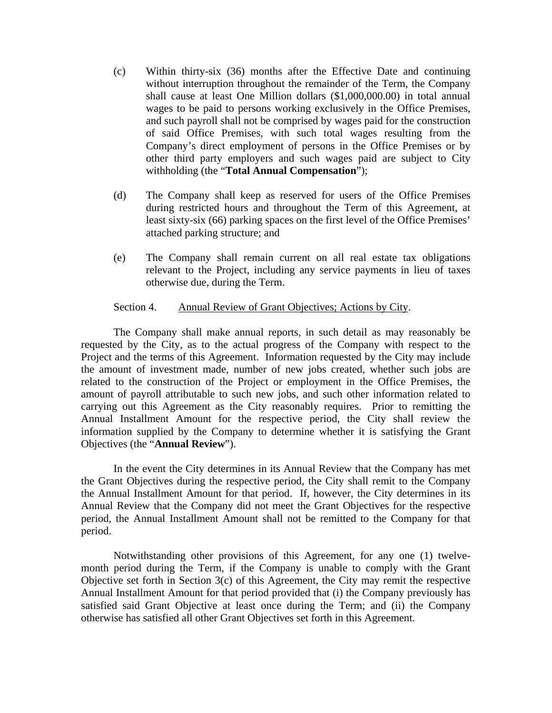- (c) Within thirty-six (36) months after the Effective Date and continuing without interruption throughout the remainder of the Term, the Company shall cause at least One Million dollars (\$1,000,000.00) in total annual wages to be paid to persons working exclusively in the Office Premises, and such payroll shall not be comprised by wages paid for the construction of said Office Premises, with such total wages resulting from the Company's direct employment of persons in the Office Premises or by other third party employers and such wages paid are subject to City withholding (the "**Total Annual Compensation**");
- (d) The Company shall keep as reserved for users of the Office Premises during restricted hours and throughout the Term of this Agreement, at least sixty-six (66) parking spaces on the first level of the Office Premises' attached parking structure; and
- (e) The Company shall remain current on all real estate tax obligations relevant to the Project, including any service payments in lieu of taxes otherwise due, during the Term.

## Section 4. Annual Review of Grant Objectives; Actions by City.

The Company shall make annual reports, in such detail as may reasonably be requested by the City, as to the actual progress of the Company with respect to the Project and the terms of this Agreement. Information requested by the City may include the amount of investment made, number of new jobs created, whether such jobs are related to the construction of the Project or employment in the Office Premises, the amount of payroll attributable to such new jobs, and such other information related to carrying out this Agreement as the City reasonably requires. Prior to remitting the Annual Installment Amount for the respective period, the City shall review the information supplied by the Company to determine whether it is satisfying the Grant Objectives (the "**Annual Review**").

In the event the City determines in its Annual Review that the Company has met the Grant Objectives during the respective period, the City shall remit to the Company the Annual Installment Amount for that period. If, however, the City determines in its Annual Review that the Company did not meet the Grant Objectives for the respective period, the Annual Installment Amount shall not be remitted to the Company for that period.

Notwithstanding other provisions of this Agreement, for any one (1) twelvemonth period during the Term, if the Company is unable to comply with the Grant Objective set forth in Section 3(c) of this Agreement, the City may remit the respective Annual Installment Amount for that period provided that (i) the Company previously has satisfied said Grant Objective at least once during the Term; and (ii) the Company otherwise has satisfied all other Grant Objectives set forth in this Agreement.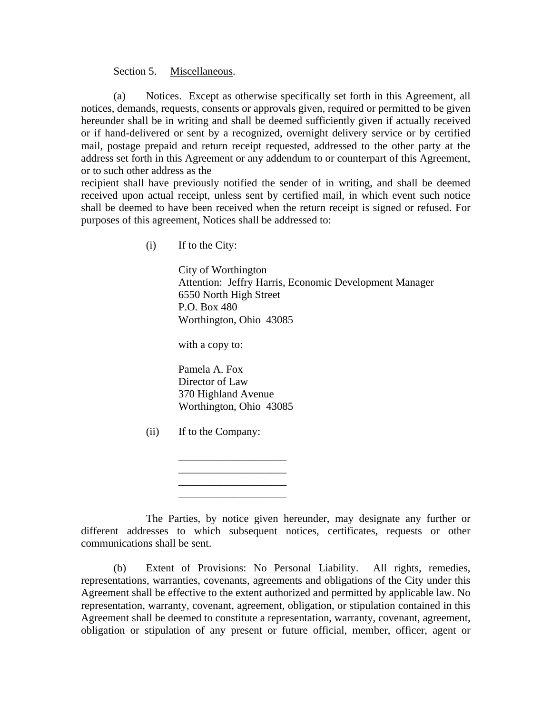### Section 5. Miscellaneous.

(a) Notices. Except as otherwise specifically set forth in this Agreement, all notices, demands, requests, consents or approvals given, required or permitted to be given hereunder shall be in writing and shall be deemed sufficiently given if actually received or if hand-delivered or sent by a recognized, overnight delivery service or by certified mail, postage prepaid and return receipt requested, addressed to the other party at the address set forth in this Agreement or any addendum to or counterpart of this Agreement, or to such other address as the

recipient shall have previously notified the sender of in writing, and shall be deemed received upon actual receipt, unless sent by certified mail, in which event such notice shall be deemed to have been received when the return receipt is signed or refused. For purposes of this agreement, Notices shall be addressed to:

(i) If to the City:

 City of Worthington Attention: Jeffry Harris, Economic Development Manager 6550 North High Street P.O. Box 480 Worthington, Ohio 43085

with a copy to:

 Pamela A. Fox Director of Law 370 Highland Avenue Worthington, Ohio 43085

 $\mathcal{L}_\text{max}$  , where  $\mathcal{L}_\text{max}$  and  $\mathcal{L}_\text{max}$ 

(ii) If to the Company:

 $\overline{\phantom{a}}$  , and the set of the set of the set of the set of the set of the set of the set of the set of the set of the set of the set of the set of the set of the set of the set of the set of the set of the set of the s

 $\frac{1}{\sqrt{2}}$  ,  $\frac{1}{\sqrt{2}}$  ,  $\frac{1}{\sqrt{2}}$  ,  $\frac{1}{\sqrt{2}}$  ,  $\frac{1}{\sqrt{2}}$  ,  $\frac{1}{\sqrt{2}}$  ,  $\frac{1}{\sqrt{2}}$  ,  $\frac{1}{\sqrt{2}}$  ,  $\frac{1}{\sqrt{2}}$  ,  $\frac{1}{\sqrt{2}}$  ,  $\frac{1}{\sqrt{2}}$  ,  $\frac{1}{\sqrt{2}}$  ,  $\frac{1}{\sqrt{2}}$  ,  $\frac{1}{\sqrt{2}}$  ,  $\frac{1}{\sqrt{2}}$  $\overline{\phantom{a}}$  , and the set of the set of the set of the set of the set of the set of the set of the set of the set of the set of the set of the set of the set of the set of the set of the set of the set of the set of the s

 The Parties, by notice given hereunder, may designate any further or different addresses to which subsequent notices, certificates, requests or other communications shall be sent.

(b) Extent of Provisions: No Personal Liability. All rights, remedies, representations, warranties, covenants, agreements and obligations of the City under this Agreement shall be effective to the extent authorized and permitted by applicable law. No representation, warranty, covenant, agreement, obligation, or stipulation contained in this Agreement shall be deemed to constitute a representation, warranty, covenant, agreement, obligation or stipulation of any present or future official, member, officer, agent or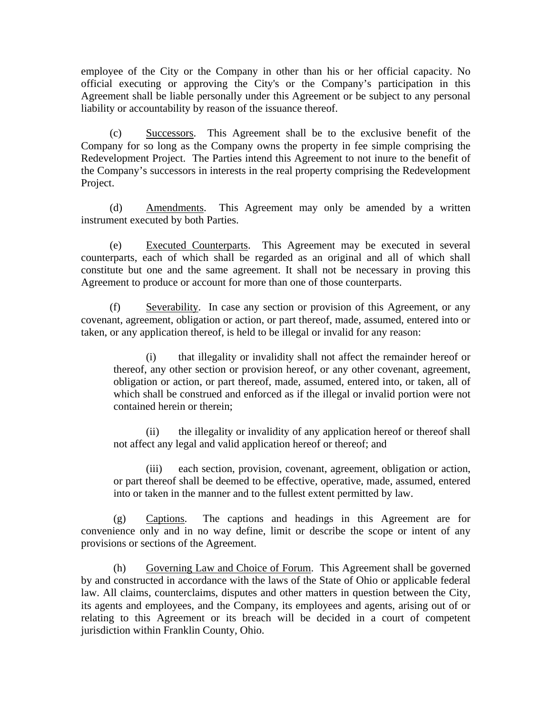employee of the City or the Company in other than his or her official capacity. No official executing or approving the City's or the Company's participation in this Agreement shall be liable personally under this Agreement or be subject to any personal liability or accountability by reason of the issuance thereof.

(c) Successors. This Agreement shall be to the exclusive benefit of the Company for so long as the Company owns the property in fee simple comprising the Redevelopment Project. The Parties intend this Agreement to not inure to the benefit of the Company's successors in interests in the real property comprising the Redevelopment Project.

(d) Amendments. This Agreement may only be amended by a written instrument executed by both Parties.

(e) Executed Counterparts. This Agreement may be executed in several counterparts, each of which shall be regarded as an original and all of which shall constitute but one and the same agreement. It shall not be necessary in proving this Agreement to produce or account for more than one of those counterparts.

(f) Severability. In case any section or provision of this Agreement, or any covenant, agreement, obligation or action, or part thereof, made, assumed, entered into or taken, or any application thereof, is held to be illegal or invalid for any reason:

 (i) that illegality or invalidity shall not affect the remainder hereof or thereof, any other section or provision hereof, or any other covenant, agreement, obligation or action, or part thereof, made, assumed, entered into, or taken, all of which shall be construed and enforced as if the illegal or invalid portion were not contained herein or therein;

 (ii) the illegality or invalidity of any application hereof or thereof shall not affect any legal and valid application hereof or thereof; and

 (iii) each section, provision, covenant, agreement, obligation or action, or part thereof shall be deemed to be effective, operative, made, assumed, entered into or taken in the manner and to the fullest extent permitted by law.

(g) Captions. The captions and headings in this Agreement are for convenience only and in no way define, limit or describe the scope or intent of any provisions or sections of the Agreement.

(h) Governing Law and Choice of Forum. This Agreement shall be governed by and constructed in accordance with the laws of the State of Ohio or applicable federal law. All claims, counterclaims, disputes and other matters in question between the City, its agents and employees, and the Company, its employees and agents, arising out of or relating to this Agreement or its breach will be decided in a court of competent jurisdiction within Franklin County, Ohio.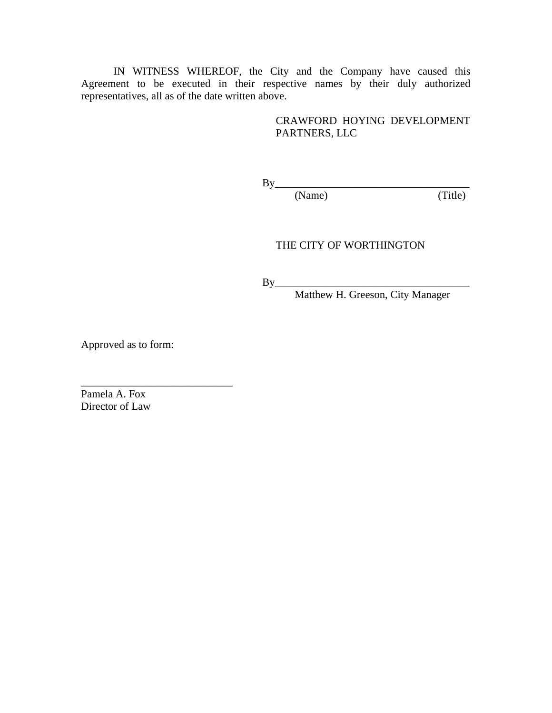IN WITNESS WHEREOF, the City and the Company have caused this Agreement to be executed in their respective names by their duly authorized representatives, all as of the date written above.

> CRAWFORD HOYING DEVELOPMENT PARTNERS, LLC

 $\rm\,By$ 

(Name) (Title)

# THE CITY OF WORTHINGTON

 $\rm\,By$ 

Matthew H. Greeson, City Manager

Approved as to form:

\_\_\_\_\_\_\_\_\_\_\_\_\_\_\_\_\_\_\_\_\_\_\_\_\_\_\_\_

Pamela A. Fox Director of Law